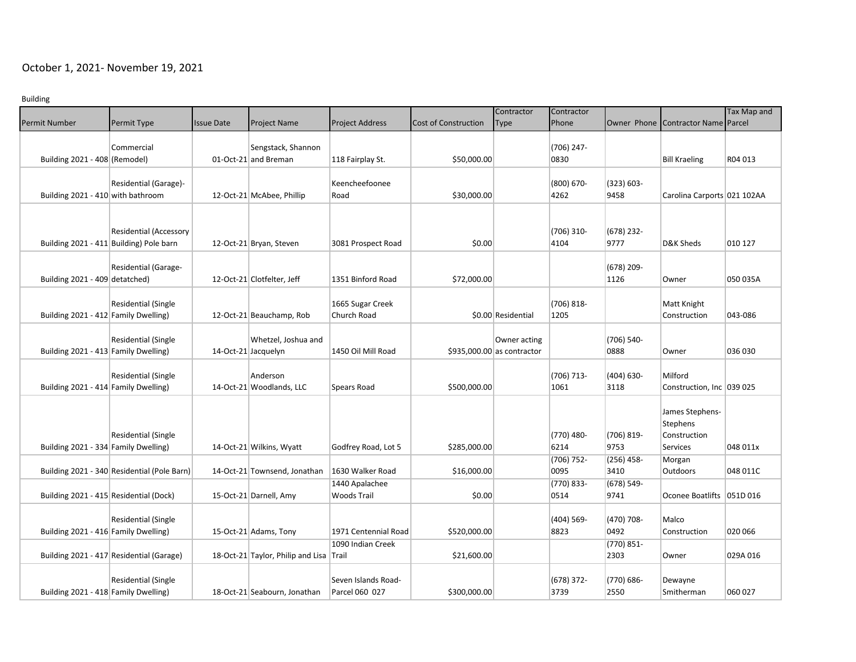## October 1, 2021- November 19, 2021

Building

|                                        |                                             |                   |                                         |                        |                      | Contractor                 | Contractor    |               |                                    | Tax Map and |
|----------------------------------------|---------------------------------------------|-------------------|-----------------------------------------|------------------------|----------------------|----------------------------|---------------|---------------|------------------------------------|-------------|
| <b>Permit Number</b>                   | Permit Type                                 | <b>Issue Date</b> | <b>Project Name</b>                     | <b>Project Address</b> | Cost of Construction | <b>Type</b>                | Phone         |               | Owner Phone Contractor Name Parcel |             |
|                                        |                                             |                   |                                         |                        |                      |                            |               |               |                                    |             |
|                                        | Commercial                                  |                   | Sengstack, Shannon                      |                        |                      |                            | (706) 247-    |               |                                    |             |
| Building 2021 - 408 (Remodel)          |                                             |                   | 01-Oct-21 and Breman                    | 118 Fairplay St.       | \$50,000.00          |                            | 0830          |               | <b>Bill Kraeling</b>               | R04 013     |
|                                        |                                             |                   |                                         |                        |                      |                            |               |               |                                    |             |
|                                        | Residential (Garage)-                       |                   |                                         | Keencheefoonee         |                      |                            | (800) 670-    | $(323) 603 -$ |                                    |             |
| Building 2021 - 410 with bathroom      |                                             |                   | 12-Oct-21 McAbee, Phillip               | Road                   | \$30,000.00          |                            | 4262          | 9458          | Carolina Carports 021 102AA        |             |
|                                        |                                             |                   |                                         |                        |                      |                            |               |               |                                    |             |
|                                        |                                             |                   |                                         |                        |                      |                            |               |               |                                    |             |
|                                        | <b>Residential (Accessory</b>               |                   |                                         |                        |                      |                            | $(706)$ 310-  | $(678)$ 232-  |                                    |             |
|                                        | Building 2021 - 411 Building) Pole barn     |                   | 12-Oct-21 Bryan, Steven                 | 3081 Prospect Road     | \$0.00               |                            | 4104          | 9777          | D&K Sheds                          | 010 127     |
|                                        |                                             |                   |                                         |                        |                      |                            |               |               |                                    |             |
|                                        | Residential (Garage-                        |                   |                                         |                        |                      |                            |               | (678) 209-    |                                    |             |
| Building 2021 - 409 detatched)         |                                             |                   | 12-Oct-21 Clotfelter, Jeff              | 1351 Binford Road      | \$72,000.00          |                            |               | 1126          | Owner                              | 050 035A    |
|                                        |                                             |                   |                                         |                        |                      |                            |               |               |                                    |             |
|                                        | <b>Residential (Single</b>                  |                   |                                         | 1665 Sugar Creek       |                      |                            | (706) 818-    |               | Matt Knight                        |             |
| Building 2021 - 412 Family Dwelling)   |                                             |                   | 12-Oct-21 Beauchamp, Rob                | Church Road            |                      | \$0.00 Residential         | 1205          |               | Construction                       | 043-086     |
|                                        |                                             |                   |                                         |                        |                      |                            |               |               |                                    |             |
|                                        | <b>Residential (Single</b>                  |                   | Whetzel, Joshua and                     |                        |                      | Owner acting               |               | (706) 540-    |                                    |             |
| Building 2021 - 413 Family Dwelling)   |                                             |                   | 14-Oct-21 Jacquelyn                     | 1450 Oil Mill Road     |                      | \$935,000.00 as contractor |               | 0888          | Owner                              | 036 030     |
|                                        |                                             |                   |                                         |                        |                      |                            |               |               |                                    |             |
|                                        | <b>Residential (Single</b>                  |                   | Anderson                                |                        |                      |                            | (706) 713-    | $(404) 630 -$ | Milford                            |             |
| Building 2021 - 414 Family Dwelling)   |                                             |                   | 14-Oct-21 Woodlands, LLC                | Spears Road            | \$500,000.00         |                            | 1061          | 3118          | Construction, Inc   039 025        |             |
|                                        |                                             |                   |                                         |                        |                      |                            |               |               |                                    |             |
|                                        |                                             |                   |                                         |                        |                      |                            |               |               | James Stephens-                    |             |
|                                        |                                             |                   |                                         |                        |                      |                            |               |               | Stephens                           |             |
|                                        | <b>Residential (Single</b>                  |                   |                                         |                        |                      |                            | (770) 480-    | (706) 819-    | Construction                       |             |
| Building 2021 - 334 Family Dwelling)   |                                             |                   | 14-Oct-21 Wilkins, Wyatt                | Godfrey Road, Lot 5    | \$285,000.00         |                            | 6214          | 9753          | Services                           | 048 011x    |
|                                        |                                             |                   |                                         |                        |                      |                            | (706) 752-    | $(256)$ 458-  | Morgan                             |             |
|                                        | Building 2021 - 340 Residential (Pole Barn) |                   | 14-Oct-21 Townsend, Jonathan            | 1630 Walker Road       | \$16,000.00          |                            | 0095          | 3410          | Outdoors                           | 048 011C    |
|                                        |                                             |                   |                                         | 1440 Apalachee         |                      |                            | $(770) 833 -$ | $(678) 549 -$ |                                    |             |
| Building 2021 - 415 Residential (Dock) |                                             |                   | 15-Oct-21 Darnell, Amy                  | <b>Woods Trail</b>     | \$0.00               |                            | 0514          | 9741          | Oconee Boatlifts   051D 016        |             |
|                                        |                                             |                   |                                         |                        |                      |                            |               |               |                                    |             |
|                                        | <b>Residential (Single</b>                  |                   |                                         |                        |                      |                            | (404) 569-    | (470) 708-    | Malco                              |             |
| Building 2021 - 416 Family Dwelling)   |                                             |                   | 15-Oct-21 Adams, Tony                   | 1971 Centennial Road   | \$520,000.00         |                            | 8823          | 0492          | Construction                       | 020 066     |
|                                        |                                             |                   |                                         | 1090 Indian Creek      |                      |                            |               | $(770) 851 -$ |                                    |             |
|                                        | Building 2021 - 417 Residential (Garage)    |                   | 18-Oct-21 Taylor, Philip and Lisa Trail |                        | \$21,600.00          |                            |               | 2303          | Owner                              | 029A 016    |
|                                        |                                             |                   |                                         |                        |                      |                            |               |               |                                    |             |
|                                        | <b>Residential (Single</b>                  |                   |                                         | Seven Islands Road-    |                      |                            | $(678)$ 372-  | (770) 686-    | Dewayne                            |             |
| Building 2021 - 418 Family Dwelling)   |                                             |                   | 18-Oct-21 Seabourn, Jonathan            | Parcel 060 027         | \$300,000.00         |                            | 3739          | 2550          | Smitherman                         | 060 027     |
|                                        |                                             |                   |                                         |                        |                      |                            |               |               |                                    |             |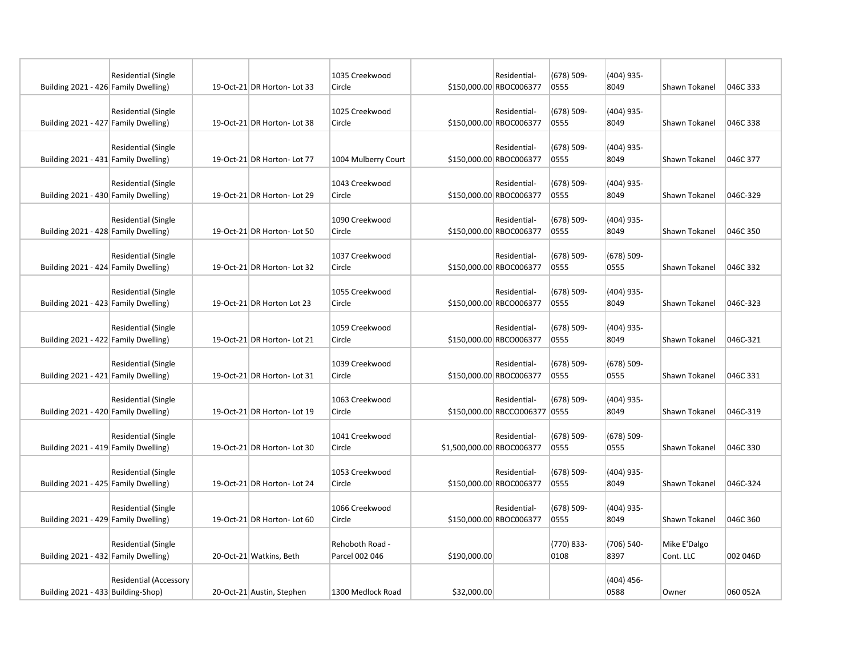| Building 2021 - 426 Family Dwelling) | <b>Residential (Single</b>    | 19-Oct-21 DR Horton- Lot 33 | 1035 Creekwood<br>Circle          |                           | Residential-<br>\$150,000.00 RBOC006377       | $(678) 509 -$<br>0555 | $(404)$ 935-<br>8049  | Shawn Tokanel             | 046C 333 |
|--------------------------------------|-------------------------------|-----------------------------|-----------------------------------|---------------------------|-----------------------------------------------|-----------------------|-----------------------|---------------------------|----------|
| Building 2021 - 427 Family Dwelling) | <b>Residential (Single</b>    | 19-Oct-21 DR Horton- Lot 38 | 1025 Creekwood<br>Circle          |                           | Residential-<br>\$150,000.00 RBOC006377       | $(678) 509 -$<br>0555 | $(404)$ 935-<br>8049  | Shawn Tokanel             | 046C 338 |
| Building 2021 - 431 Family Dwelling) | <b>Residential (Single</b>    | 19-Oct-21 DR Horton- Lot 77 | 1004 Mulberry Court               |                           | Residential-<br>\$150,000.00 RBOC006377       | $(678) 509 -$<br>0555 | $(404)$ 935-<br>8049  | Shawn Tokanel             | 046C 377 |
| Building 2021 - 430 Family Dwelling) | <b>Residential (Single</b>    | 19-Oct-21 DR Horton- Lot 29 | 1043 Creekwood<br>Circle          |                           | Residential-<br>\$150,000.00 RBOC006377       | $(678) 509 -$<br>0555 | $(404)$ 935-<br>8049  | Shawn Tokanel             | 046C-329 |
| Building 2021 - 428 Family Dwelling) | <b>Residential (Single</b>    | 19-Oct-21 DR Horton- Lot 50 | 1090 Creekwood<br>Circle          |                           | Residential-<br>\$150,000.00 RBOC006377       | $(678) 509 -$<br>0555 | $(404)$ 935-<br>8049  | Shawn Tokanel             | 046C 350 |
| Building 2021 - 424 Family Dwelling) | <b>Residential (Single</b>    | 19-Oct-21 DR Horton- Lot 32 | 1037 Creekwood<br>Circle          |                           | Residential-<br>\$150,000.00 RBOC006377       | $(678) 509 -$<br>0555 | (678) 509-<br>0555    | Shawn Tokanel             | 046C 332 |
| Building 2021 - 423 Family Dwelling) | <b>Residential (Single</b>    | 19-Oct-21 DR Horton Lot 23  | 1055 Creekwood<br>Circle          |                           | Residential-<br>\$150,000.00 RBCO006377       | $(678) 509 -$<br>0555 | $(404)$ 935-<br>8049  | Shawn Tokanel             | 046C-323 |
| Building 2021 - 422 Family Dwelling) | <b>Residential (Single</b>    | 19-Oct-21 DR Horton- Lot 21 | 1059 Creekwood<br>Circle          |                           | Residential-<br>\$150,000.00 RBCO006377       | $(678) 509 -$<br>0555 | (404) 935-<br>8049    | Shawn Tokanel             | 046C-321 |
| Building 2021 - 421 Family Dwelling) | <b>Residential (Single</b>    | 19-Oct-21 DR Horton- Lot 31 | 1039 Creekwood<br>Circle          |                           | Residential-<br>\$150,000.00 RBOC006377       | $(678) 509 -$<br>0555 | $(678)$ 509-<br>0555  | Shawn Tokanel             | 046C 331 |
| Building 2021 - 420 Family Dwelling) | <b>Residential (Single</b>    | 19-Oct-21 DR Horton- Lot 19 | 1063 Creekwood<br>Circle          |                           | Residential-<br>\$150,000.00 RBCCO006377 0555 | $(678) 509 -$         | (404) 935-<br>8049    | Shawn Tokanel             | 046C-319 |
| Building 2021 - 419 Family Dwelling) | <b>Residential (Single</b>    | 19-Oct-21 DR Horton- Lot 30 | 1041 Creekwood<br>Circle          | \$1,500,000.00 RBOC006377 | Residential-                                  | $(678) 509 -$<br>0555 | $(678) 509 -$<br>0555 | Shawn Tokanel             | 046C 330 |
| Building 2021 - 425 Family Dwelling) | <b>Residential (Single</b>    | 19-Oct-21 DR Horton- Lot 24 | 1053 Creekwood<br>Circle          |                           | Residential-<br>\$150,000.00 RBOC006377       | $(678) 509 -$<br>0555 | (404) 935-<br>8049    | Shawn Tokanel             | 046C-324 |
| Building 2021 - 429 Family Dwelling) | <b>Residential (Single</b>    | 19-Oct-21 DR Horton- Lot 60 | 1066 Creekwood<br>Circle          |                           | Residential-<br>\$150,000.00 RBOC006377       | $(678) 509 -$<br>0555 | $(404)$ 935-<br>8049  | Shawn Tokanel             | 046C 360 |
| Building 2021 - 432 Family Dwelling) | <b>Residential (Single</b>    | 20-Oct-21 Watkins, Beth     | Rehoboth Road -<br>Parcel 002 046 | \$190,000.00              |                                               | (770) 833-<br>0108    | (706) 540-<br>8397    | Mike E'Dalgo<br>Cont. LLC | 002 046D |
| Building 2021 - 433 Building-Shop)   | <b>Residential (Accessory</b> | 20-Oct-21 Austin, Stephen   | 1300 Medlock Road                 | \$32,000.00               |                                               |                       | $(404)$ 456-<br>0588  | Owner                     | 060 052A |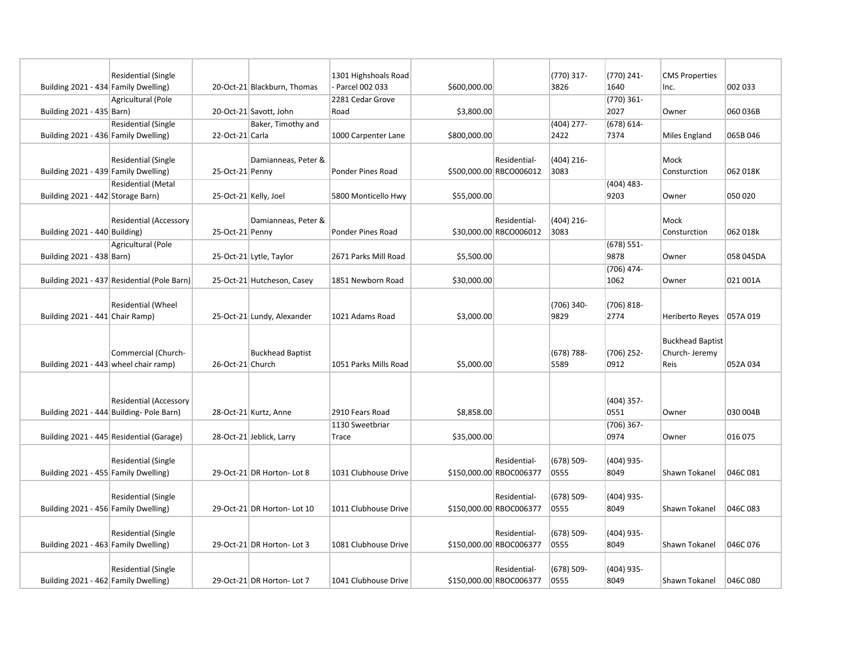|                                       | <b>Residential (Single</b>                  |                       |                             | 1301 Highshoals Road  |              |                         | $(770)$ 317-  | (770) 241-         | <b>CMS Properties</b>   |           |
|---------------------------------------|---------------------------------------------|-----------------------|-----------------------------|-----------------------|--------------|-------------------------|---------------|--------------------|-------------------------|-----------|
| Building 2021 - 434 Family Dwelling)  |                                             |                       | 20-Oct-21 Blackburn, Thomas | Parcel 002 033        | \$600,000.00 |                         | 3826          | 1640               | Inc.                    | 002 033   |
|                                       | Agricultural (Pole                          |                       |                             | 2281 Cedar Grove      |              |                         |               | $(770)$ 361-       |                         |           |
| Building 2021 - 435 Barn)             |                                             |                       | 20-Oct-21 Savott, John      | Road                  | \$3,800.00   |                         |               | 2027               | Owner                   | 060 036B  |
|                                       | <b>Residential (Single</b>                  |                       | Baker, Timothy and          |                       |              |                         | (404) 277-    | $(678) 614 -$      |                         |           |
| Building 2021 - 436 Family Dwelling)  |                                             | 22-Oct-21 Carla       |                             | 1000 Carpenter Lane   | \$800,000.00 |                         | 2422          | 7374               | Miles England           | 065B 046  |
|                                       |                                             |                       |                             |                       |              |                         |               |                    |                         |           |
|                                       | <b>Residential (Single</b>                  |                       | Damianneas, Peter &         |                       |              | Residential-            | (404) 216-    |                    | Mock                    |           |
| Building 2021 - 439 Family Dwelling)  |                                             | 25-Oct-21 Penny       |                             | Ponder Pines Road     |              | \$500,000.00 RBCO006012 | 3083          |                    | Consturction            | 062 018K  |
|                                       | <b>Residential (Metal</b>                   |                       |                             |                       |              |                         |               | (404) 483-         |                         |           |
| Building 2021 - 442 Storage Barn)     |                                             | 25-Oct-21 Kelly, Joel |                             | 5800 Monticello Hwy   | \$55,000.00  |                         |               | 9203               | Owner                   | 050 020   |
|                                       |                                             |                       |                             |                       |              |                         |               |                    |                         |           |
|                                       | <b>Residential (Accessory</b>               |                       | Damianneas, Peter &         |                       |              | Residential-            | $(404)$ 216-  |                    | Mock                    |           |
| Building 2021 - 440 Building)         |                                             | 25-Oct-21 Penny       |                             | Ponder Pines Road     |              | \$30,000.00 RBCO006012  | 3083          |                    | Consturction            | 062 018k  |
|                                       | Agricultural (Pole                          |                       |                             |                       |              |                         |               | $(678)$ 551-       |                         |           |
| Building 2021 - 438 Barn)             |                                             |                       | 25-Oct-21 Lytle, Taylor     | 2671 Parks Mill Road  | \$5,500.00   |                         |               | 9878               | Owner                   | 058 045DA |
|                                       |                                             |                       |                             |                       |              |                         |               | (706) 474-         |                         |           |
|                                       | Building 2021 - 437 Residential (Pole Barn) |                       | 25-Oct-21 Hutcheson, Casey  | 1851 Newborn Road     | \$30,000.00  |                         |               | 1062               | Owner                   | 021 001A  |
|                                       |                                             |                       |                             |                       |              |                         |               |                    |                         |           |
|                                       | Residential (Wheel                          |                       |                             |                       |              |                         | $(706)$ 340-  | $(706) 818 -$      |                         |           |
| Building 2021 - 441 Chair Ramp)       |                                             |                       | 25-Oct-21 Lundy, Alexander  | 1021 Adams Road       | \$3,000.00   |                         | 9829          | 2774               | Heriberto Reyes         | 057A 019  |
|                                       |                                             |                       |                             |                       |              |                         |               |                    |                         |           |
|                                       |                                             |                       |                             |                       |              |                         |               |                    | <b>Buckhead Baptist</b> |           |
|                                       | Commercial (Church-                         |                       | <b>Buckhead Baptist</b>     |                       |              |                         | $(678)$ 788-  | (706) 252-         | Church-Jeremy           |           |
| Building 2021 - 443 wheel chair ramp) |                                             | 26-Oct-21 Church      |                             | 1051 Parks Mills Road | \$5,000.00   |                         | 5589          | 0912               | Reis                    | 052A 034  |
|                                       |                                             |                       |                             |                       |              |                         |               |                    |                         |           |
|                                       |                                             |                       |                             |                       |              |                         |               |                    |                         |           |
|                                       | <b>Residential (Accessory</b>               |                       | 28-Oct-21 Kurtz, Anne       | 2910 Fears Road       | \$8,858.00   |                         |               | (404) 357-<br>0551 | Owner                   | 030 004B  |
|                                       | Building 2021 - 444 Building- Pole Barn)    |                       |                             | 1130 Sweetbriar       |              |                         |               | (706) 367-         |                         |           |
|                                       | Building 2021 - 445 Residential (Garage)    |                       | 28-Oct-21 Jeblick, Larry    | Trace                 | \$35,000.00  |                         |               | 0974               | Owner                   | 016 075   |
|                                       |                                             |                       |                             |                       |              |                         |               |                    |                         |           |
|                                       | Residential (Single                         |                       |                             |                       |              | Residential-            | $(678) 509 -$ | $(404)$ 935-       |                         |           |
| Building 2021 - 455 Family Dwelling)  |                                             |                       | 29-Oct-21 DR Horton-Lot 8   | 1031 Clubhouse Drive  |              | \$150,000.00 RBOC006377 | 0555          | 8049               | Shawn Tokanel           | 046C081   |
|                                       |                                             |                       |                             |                       |              |                         |               |                    |                         |           |
|                                       | <b>Residential (Single</b>                  |                       |                             |                       |              | Residential-            | $(678) 509 -$ | $(404)$ 935-       |                         |           |
| Building 2021 - 456 Family Dwelling)  |                                             |                       | 29-Oct-21 DR Horton- Lot 10 | 1011 Clubhouse Drive  |              | \$150,000.00 RBOC006377 | 0555          | 8049               | Shawn Tokanel           | 046C 083  |
|                                       |                                             |                       |                             |                       |              |                         |               |                    |                         |           |
|                                       | <b>Residential (Single</b>                  |                       |                             |                       |              | Residential-            | $(678) 509 -$ | $(404)$ 935-       |                         |           |
| Building 2021 - 463 Family Dwelling)  |                                             |                       | 29-Oct-21 DR Horton- Lot 3  | 1081 Clubhouse Drive  |              | \$150,000.00 RBOC006377 | 0555          | 8049               | Shawn Tokanel           | 046C 076  |
|                                       |                                             |                       |                             |                       |              |                         |               |                    |                         |           |
|                                       | <b>Residential (Single</b>                  |                       |                             |                       |              | Residential-            | $(678) 509 -$ | $(404)$ 935-       |                         |           |
| Building 2021 - 462 Family Dwelling)  |                                             |                       | 29-Oct-21 DR Horton-Lot 7   | 1041 Clubhouse Drive  |              | \$150,000.00 RBOC006377 | 0555          | 8049               | Shawn Tokanel           | 046C 080  |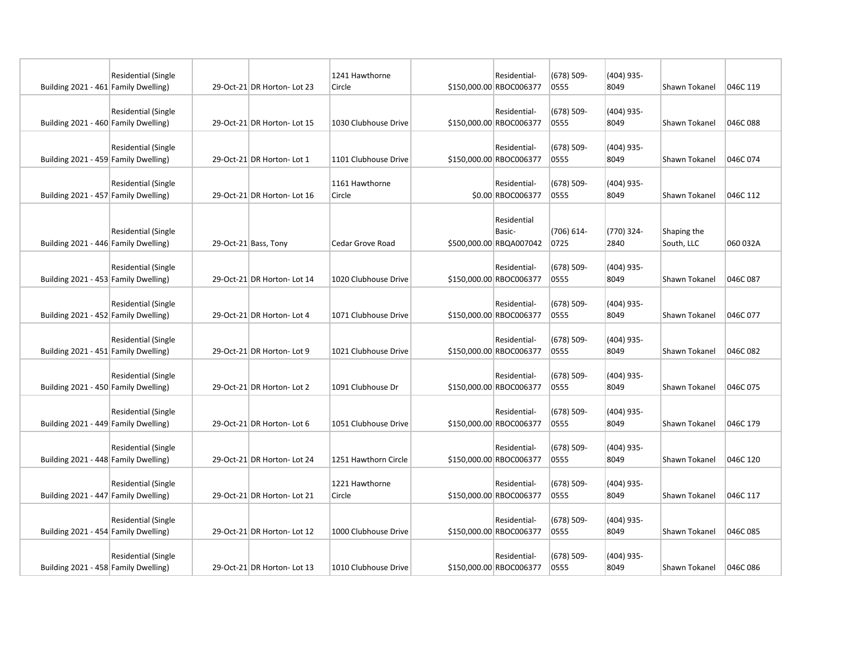| Building 2021 - 461 Family Dwelling) | Residential (Single        | 29-Oct-21 DR Horton- Lot 23 | 1241 Hawthorne<br>Circle | Residential-<br>\$150,000.00 RBOC006377          | $(678)$ 509-<br>0555  | $(404)$ 935-<br>8049 | Shawn Tokanel             | 046C 119 |
|--------------------------------------|----------------------------|-----------------------------|--------------------------|--------------------------------------------------|-----------------------|----------------------|---------------------------|----------|
| Building 2021 - 460 Family Dwelling) | Residential (Single        | 29-Oct-21 DR Horton- Lot 15 | 1030 Clubhouse Drive     | Residential-<br>\$150,000.00 RBOC006377          | $(678) 509 -$<br>0555 | $(404)$ 935-<br>8049 | Shawn Tokanel             | 046C088  |
| Building 2021 - 459 Family Dwelling) | Residential (Single        | 29-Oct-21 DR Horton-Lot 1   | 1101 Clubhouse Drive     | Residential-<br>\$150,000.00 RBOC006377          | $(678) 509 -$<br>0555 | $(404)$ 935-<br>8049 | <b>Shawn Tokanel</b>      | 046C 074 |
| Building 2021 - 457 Family Dwelling) | <b>Residential (Single</b> | 29-Oct-21 DR Horton- Lot 16 | 1161 Hawthorne<br>Circle | Residential-<br>\$0.00 RBOC006377                | $(678) 509 -$<br>0555 | $(404)$ 935-<br>8049 | Shawn Tokanel             | 046C 112 |
| Building 2021 - 446 Family Dwelling) | <b>Residential (Single</b> | 29-Oct-21 Bass, Tony        | Cedar Grove Road         | Residential<br>Basic-<br>\$500,000.00 RBQA007042 | (706) 614-<br>0725    | (770) 324-<br>2840   | Shaping the<br>South, LLC | 060 032A |
| Building 2021 - 453 Family Dwelling) | <b>Residential (Single</b> | 29-Oct-21 DR Horton- Lot 14 | 1020 Clubhouse Drive     | Residential-<br>\$150,000.00 RBOC006377          | $(678) 509 -$<br>0555 | $(404)$ 935-<br>8049 | Shawn Tokanel             | 046C 087 |
| Building 2021 - 452 Family Dwelling) | <b>Residential (Single</b> | 29-Oct-21 DR Horton-Lot 4   | 1071 Clubhouse Drive     | Residential-<br>\$150,000.00 RBOC006377          | $(678) 509 -$<br>0555 | $(404)$ 935-<br>8049 | Shawn Tokanel             | 046C 077 |
| Building 2021 - 451 Family Dwelling) | <b>Residential (Single</b> | 29-Oct-21 DR Horton- Lot 9  | 1021 Clubhouse Drive     | Residential-<br>\$150,000.00 RBOC006377          | $(678) 509 -$<br>0555 | $(404)$ 935-<br>8049 | Shawn Tokanel             | 046C 082 |
| Building 2021 - 450 Family Dwelling) | Residential (Single        | 29-Oct-21 DR Horton-Lot 2   | 1091 Clubhouse Dr        | Residential-<br>\$150,000.00 RBOC006377          | $(678) 509 -$<br>0555 | $(404)$ 935-<br>8049 | Shawn Tokanel             | 046C 075 |
| Building 2021 - 449 Family Dwelling) | <b>Residential (Single</b> | 29-Oct-21 DR Horton-Lot 6   | 1051 Clubhouse Drive     | Residential-<br>\$150,000.00 RBOC006377          | $(678)$ 509-<br>0555  | $(404)$ 935-<br>8049 | Shawn Tokanel             | 046C 179 |
| Building 2021 - 448 Family Dwelling) | <b>Residential (Single</b> | 29-Oct-21 DR Horton-Lot 24  | 1251 Hawthorn Circle     | Residential-<br>\$150,000.00 RBOC006377          | $(678) 509 -$<br>0555 | $(404)$ 935-<br>8049 | Shawn Tokanel             | 046C 120 |
| Building 2021 - 447 Family Dwelling) | <b>Residential (Single</b> | 29-Oct-21 DR Horton-Lot 21  | 1221 Hawthorne<br>Circle | Residential-<br>\$150,000.00 RBOC006377          | $(678) 509 -$<br>0555 | $(404)$ 935-<br>8049 | Shawn Tokanel             | 046C 117 |
| Building 2021 - 454 Family Dwelling) | <b>Residential (Single</b> | 29-Oct-21 DR Horton-Lot 12  | 1000 Clubhouse Drive     | Residential-<br>\$150,000.00 RBOC006377          | $(678) 509 -$<br>0555 | $(404)$ 935-<br>8049 | Shawn Tokanel             | 046C 085 |
| Building 2021 - 458 Family Dwelling) | <b>Residential (Single</b> | 29-Oct-21 DR Horton- Lot 13 | 1010 Clubhouse Drive     | Residential-<br>\$150,000.00 RBOC006377          | $(678) 509 -$<br>0555 | $(404)$ 935-<br>8049 | Shawn Tokanel             | 046C086  |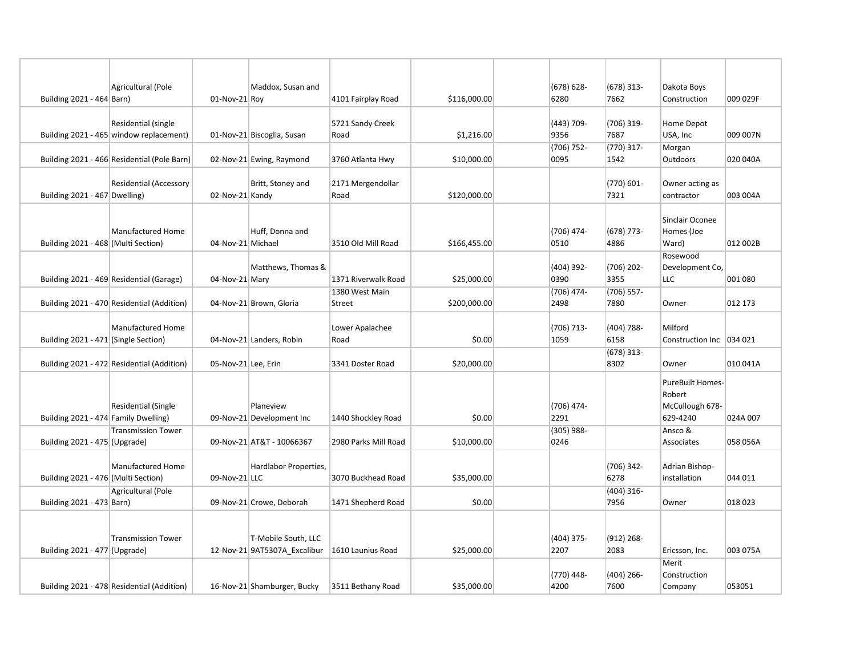|                                      | Agricultural (Pole                                             |                     | Maddox, Susan and                                   |                                 |              | $(678) 628 -$         | $(678)$ 313-          | Dakota Boys                                               |          |
|--------------------------------------|----------------------------------------------------------------|---------------------|-----------------------------------------------------|---------------------------------|--------------|-----------------------|-----------------------|-----------------------------------------------------------|----------|
| Building 2021 - 464 Barn)            |                                                                | 01-Nov-21 Roy       |                                                     | 4101 Fairplay Road              | \$116,000.00 | 6280                  | 7662                  | Construction                                              | 009 029F |
|                                      | Residential (single<br>Building 2021 - 465 window replacement) |                     | 01-Nov-21 Biscoglia, Susan                          | 5721 Sandy Creek<br>Road        | \$1,216.00   | (443) 709-<br>9356    | $(706)$ 319-<br>7687  | Home Depot<br>USA, Inc                                    | 009 007N |
|                                      | Building 2021 - 466 Residential (Pole Barn)                    |                     | 02-Nov-21 Ewing, Raymond                            | 3760 Atlanta Hwy                | \$10,000.00  | $(706) 752 -$<br>0095 | $(770)$ 317-<br>1542  | Morgan<br>Outdoors                                        | 020 040A |
| Building 2021 - 467 Dwelling)        | <b>Residential (Accessory</b>                                  | 02-Nov-21 Kandy     | Britt, Stoney and                                   | 2171 Mergendollar<br>Road       | \$120,000.00 |                       | $(770) 601 -$<br>7321 | Owner acting as<br>contractor                             | 003 004A |
| Building 2021 - 468 (Multi Section)  | Manufactured Home                                              | 04-Nov-21 Michael   | Huff, Donna and                                     | 3510 Old Mill Road              | \$166,455.00 | (706) 474-<br>0510    | $(678)$ 773-<br>4886  | Sinclair Oconee<br>Homes (Joe<br>Ward)                    | 012 002B |
|                                      | Building 2021 - 469 Residential (Garage)                       | 04-Nov-21 Mary      | Matthews, Thomas &                                  | 1371 Riverwalk Road             | \$25,000.00  | $(404)$ 392-<br>0390  | $(706)$ 202-<br>3355  | Rosewood<br>Development Co,<br>LLC                        | 001 080  |
|                                      | Building 2021 - 470 Residential (Addition)                     |                     | 04-Nov-21 Brown, Gloria                             | 1380 West Main<br><b>Street</b> | \$200,000.00 | (706) 474-<br>2498    | $(706)$ 557-<br>7880  | Owner                                                     | 012 173  |
| Building 2021 - 471 (Single Section) | Manufactured Home                                              |                     | 04-Nov-21 Landers, Robin                            | Lower Apalachee<br>Road         | \$0.00       | $(706) 713 -$<br>1059 | $(404) 788 -$<br>6158 | Milford<br>Construction Inc   034 021                     |          |
|                                      | Building 2021 - 472 Residential (Addition)                     | 05-Nov-21 Lee, Erin |                                                     | 3341 Doster Road                | \$20,000.00  |                       | $(678)$ 313-<br>8302  | Owner                                                     | 010 041A |
| Building 2021 - 474 Family Dwelling) | Residential (Single                                            |                     | Planeview<br>09-Nov-21 Development Inc              | 1440 Shockley Road              | \$0.00       | (706) 474-<br>2291    |                       | PureBuilt Homes-<br>Robert<br>McCullough 678-<br>629-4240 | 024A 007 |
|                                      | <b>Transmission Tower</b>                                      |                     |                                                     |                                 |              | $(305)$ 988-          |                       | Ansco &                                                   |          |
| Building 2021 - 475 (Upgrade)        |                                                                |                     | 09-Nov-21 AT&T - 10066367                           | 2980 Parks Mill Road            | \$10,000.00  | 0246                  |                       | Associates                                                | 058 056A |
| Building 2021 - 476 (Multi Section)  | <b>Manufactured Home</b>                                       | $09$ -Nov-21 LLC    | Hardlabor Properties,                               | 3070 Buckhead Road              | \$35,000.00  |                       | (706) 342-<br>6278    | Adrian Bishop-<br>installation                            | 044 011  |
| Building 2021 - 473 Barn)            | Agricultural (Pole                                             |                     | 09-Nov-21 Crowe, Deborah                            | 1471 Shepherd Road              | \$0.00       |                       | (404) 316-<br>7956    | Owner                                                     | 018 023  |
| Building 2021 - 477 (Upgrade)        | <b>Transmission Tower</b>                                      |                     | T-Mobile South, LLC<br>12-Nov-21 9AT5307A Excalibur | 1610 Launius Road               | \$25,000.00  | (404) 375-<br>2207    | $(912)$ 268-<br>2083  | Ericsson, Inc.                                            | 003 075A |
|                                      | Building 2021 - 478 Residential (Addition)                     |                     | 16-Nov-21 Shamburger, Bucky                         | 3511 Bethany Road               | \$35,000.00  | (770) 448-<br>4200    | (404) 266-<br>7600    | Merit<br>Construction<br>Company                          | 053051   |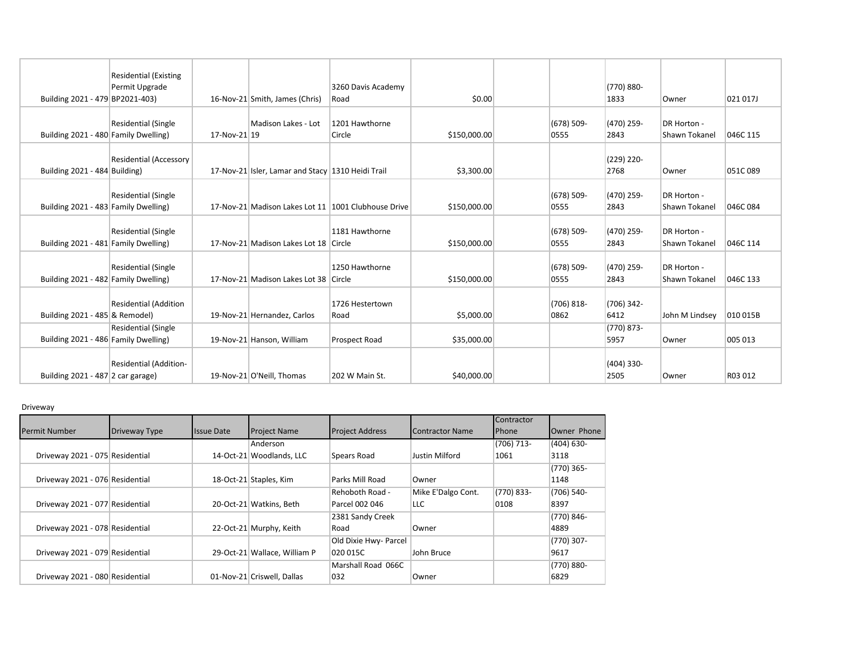| Building 2021 - 479 BP2021-403)      | <b>Residential (Existing</b><br>Permit Upgrade |              | 16-Nov-21 Smith, James (Chris)                    | 3260 Davis Academy<br>Road                          | \$0.00       |                       | (770) 880-<br>1833   | Owner                        | 021 017J |
|--------------------------------------|------------------------------------------------|--------------|---------------------------------------------------|-----------------------------------------------------|--------------|-----------------------|----------------------|------------------------------|----------|
| Building 2021 - 480 Family Dwelling) | <b>Residential (Single</b>                     | 17-Nov-21 19 | Madison Lakes - Lot                               | 1201 Hawthorne<br>Circle                            | \$150,000.00 | $(678)$ 509-<br>0555  | (470) 259-<br>2843   | DR Horton -<br>Shawn Tokanel | 046C 115 |
| Building 2021 - 484 Building)        | <b>Residential (Accessory</b>                  |              | 17-Nov-21 Isler, Lamar and Stacy 1310 Heidi Trail |                                                     | \$3,300.00   |                       | (229) 220-<br>2768   | Owner                        | 051C089  |
| Building 2021 - 483 Family Dwelling) | Residential (Single                            |              |                                                   | 17-Nov-21 Madison Lakes Lot 11 1001 Clubhouse Drive | \$150,000.00 | $(678)$ 509-<br>0555  | (470) 259-<br>2843   | DR Horton -<br>Shawn Tokanel | 046C 084 |
| Building 2021 - 481 Family Dwelling) | <b>Residential (Single</b>                     |              | 17-Nov-21 Madison Lakes Lot 18 Circle             | 1181 Hawthorne                                      | \$150,000.00 | $(678)$ 509-<br>0555  | (470) 259-<br>2843   | DR Horton -<br>Shawn Tokanel | 046C 114 |
| Building 2021 - 482 Family Dwelling) | <b>Residential (Single</b>                     |              | 17-Nov-21 Madison Lakes Lot 38 Circle             | 1250 Hawthorne                                      | \$150,000.00 | $(678)$ 509-<br>0555  | (470) 259-<br>2843   | DR Horton -<br>Shawn Tokanel | 046C 133 |
| Building 2021 - 485 & Remodel)       | <b>Residential (Addition</b>                   |              | 19-Nov-21 Hernandez, Carlos                       | 1726 Hestertown<br>Road                             | \$5,000.00   | $(706) 818 -$<br>0862 | $(706)$ 342-<br>6412 | John M Lindsev               | 010 015B |
| Building 2021 - 486 Family Dwelling) | <b>Residential (Single</b>                     |              | 19-Nov-21 Hanson, William                         | Prospect Road                                       | \$35,000.00  |                       | (770) 873-<br>5957   | Owner                        | 005 013  |
| Building 2021 - 487 2 car garage)    | Residential (Addition-                         |              | 19-Nov-21 O'Neill, Thomas                         | 202 W Main St.                                      | \$40,000.00  |                       | (404) 330-<br>2505   | Owner                        | R03 012  |

## Driveway

|                                 |               |                   |                              |                        |                        | Contractor   |               |
|---------------------------------|---------------|-------------------|------------------------------|------------------------|------------------------|--------------|---------------|
| <b>Permit Number</b>            | Driveway Type | <b>Issue Date</b> | <b>Project Name</b>          | <b>Project Address</b> | <b>Contractor Name</b> | <b>Phone</b> | Owner Phone   |
|                                 |               |                   | Anderson                     |                        |                        | $(706)$ 713- | $(404) 630 -$ |
| Driveway 2021 - 075 Residential |               |                   | 14-Oct-21 Woodlands, LLC     | Spears Road            | Justin Milford         | 1061         | 3118          |
|                                 |               |                   |                              |                        |                        |              | (770) 365-    |
| Driveway 2021 - 076 Residential |               |                   | 18-Oct-21 Staples, Kim       | Parks Mill Road        | ≀Owner                 |              | 1148          |
|                                 |               |                   |                              | Rehoboth Road -        | Mike E'Dalgo Cont.     | (770) 833-   | (706) 540-    |
| Driveway 2021 - 077 Residential |               |                   | 20-Oct-21 Watkins, Beth      | Parcel 002 046         | <b>LLC</b>             | 0108         | 8397          |
|                                 |               |                   |                              | 2381 Sandy Creek       |                        |              | (770) 846-    |
| Driveway 2021 - 078 Residential |               |                   | 22-Oct-21 Murphy, Keith      | Road                   | <i>i</i> Owner         |              | 4889          |
|                                 |               |                   |                              | Old Dixie Hwy- Parcel  |                        |              | (770) 307-    |
| Driveway 2021 - 079 Residential |               |                   | 29-Oct-21 Wallace, William P | 020 015C               | John Bruce             |              | 9617          |
|                                 |               |                   |                              | Marshall Road 066C     |                        |              | (770) 880-    |
| Driveway 2021 - 080 Residential |               |                   | 01-Nov-21 Criswell, Dallas   | 032                    | ≀Owner                 |              | 6829          |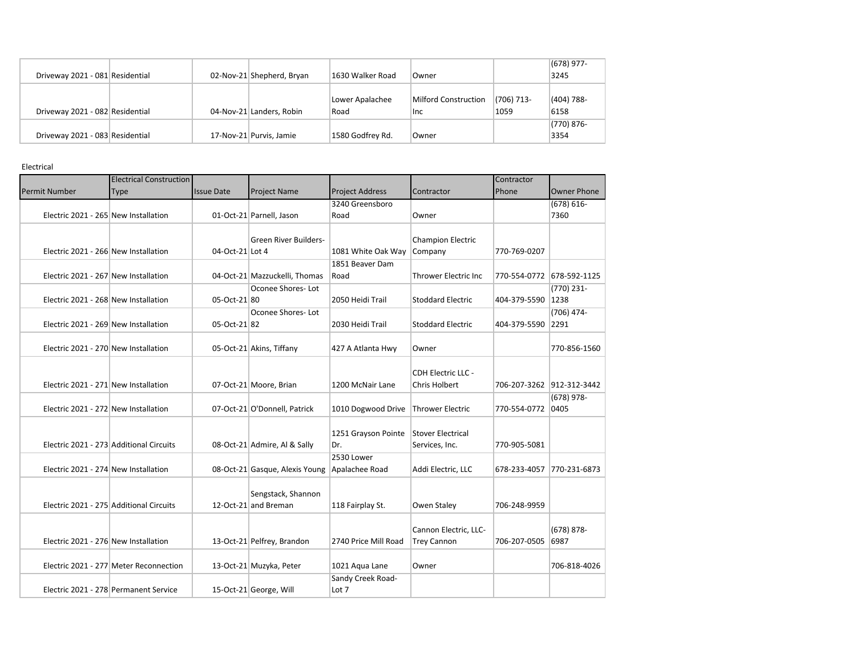|                                 |                           |                  |                             |            | $(678)$ 977-  |
|---------------------------------|---------------------------|------------------|-----------------------------|------------|---------------|
| Driveway 2021 - 081 Residential | 02-Nov-21 Shepherd, Bryan | 1630 Walker Road | Owner                       |            | 3245          |
|                                 |                           |                  |                             |            |               |
|                                 |                           | Lower Apalachee  | <b>Milford Construction</b> | (706) 713- | (404) 788-    |
| Driveway 2021 - 082 Residential | 04-Nov-21 Landers, Robin  | Road             | <b>Inc</b>                  | 1059       | 6158          |
|                                 |                           |                  |                             |            | $(770) 876 -$ |
| Driveway 2021 - 083 Residential | 17-Nov-21 Purvis, Jamie   | 1580 Godfrey Rd. | Owner                       |            | 3354          |

Electrical

|                                         | <b>Electrical Construction</b>         |                   |                                |                                     |                             | Contractor   |                           |
|-----------------------------------------|----------------------------------------|-------------------|--------------------------------|-------------------------------------|-----------------------------|--------------|---------------------------|
| <b>Permit Number</b>                    | Type                                   | <b>Issue Date</b> | <b>Project Name</b>            | <b>Project Address</b>              | Contractor                  | Phone        | <b>Owner Phone</b>        |
|                                         |                                        |                   |                                | 3240 Greensboro                     |                             |              | $(678) 616 -$             |
| Electric 2021 - 265 New Installation    |                                        |                   | 01-Oct-21 Parnell, Jason       | Road                                | Owner                       |              | 7360                      |
|                                         |                                        |                   |                                |                                     |                             |              |                           |
|                                         |                                        |                   | Green River Builders-          |                                     | <b>Champion Electric</b>    |              |                           |
| Electric 2021 - 266 New Installation    |                                        | 04-Oct-21 Lot 4   |                                | 1081 White Oak Way                  | Company                     | 770-769-0207 |                           |
|                                         |                                        |                   |                                | 1851 Beaver Dam                     |                             |              |                           |
| Electric 2021 - 267 New Installation    |                                        |                   | 04-Oct-21 Mazzuckelli, Thomas  | Road                                | <b>Thrower Electric Inc</b> |              | 770-554-0772 678-592-1125 |
|                                         |                                        |                   | Oconee Shores-Lot              |                                     |                             |              | $(770)$ 231-              |
| Electric 2021 - 268 New Installation    |                                        | 05-Oct-21 80      |                                | 2050 Heidi Trail                    | <b>Stoddard Electric</b>    | 404-379-5590 | 1238                      |
|                                         |                                        |                   | Oconee Shores-Lot              |                                     |                             |              | $(706)$ 474-              |
| Electric 2021 - 269 New Installation    |                                        | 05-Oct-21 82      |                                | 2030 Heidi Trail                    | <b>Stoddard Electric</b>    | 404-379-5590 | 2291                      |
|                                         |                                        |                   |                                |                                     |                             |              |                           |
| Electric 2021 - 270 New Installation    |                                        |                   | 05-Oct-21 Akins, Tiffany       | 427 A Atlanta Hwy                   | Owner                       |              | 770-856-1560              |
|                                         |                                        |                   |                                |                                     |                             |              |                           |
|                                         |                                        |                   |                                |                                     | <b>CDH Electric LLC -</b>   |              |                           |
| Electric 2021 - 271 New Installation    |                                        |                   | 07-Oct-21 Moore, Brian         | 1200 McNair Lane                    | Chris Holbert               |              | 706-207-3262 912-312-3442 |
|                                         |                                        |                   |                                |                                     |                             |              | (678) 978-                |
| Electric 2021 - 272 New Installation    |                                        |                   | 07-Oct-21 O'Donnell, Patrick   | 1010 Dogwood Drive Thrower Electric |                             | 770-554-0772 | 0405                      |
|                                         |                                        |                   |                                |                                     |                             |              |                           |
|                                         |                                        |                   |                                | 1251 Grayson Pointe                 | Stover Electrical           |              |                           |
| Electric 2021 - 273 Additional Circuits |                                        |                   | 08-Oct-21 Admire, Al & Sally   | Dr.                                 | Services, Inc.              | 770-905-5081 |                           |
|                                         |                                        |                   |                                | 2530 Lower                          |                             |              |                           |
| Electric 2021 - 274 New Installation    |                                        |                   | 08-Oct-21 Gasque, Alexis Young | Apalachee Road                      | Addi Electric, LLC          | 678-233-4057 | 770-231-6873              |
|                                         |                                        |                   |                                |                                     |                             |              |                           |
|                                         |                                        |                   | Sengstack, Shannon             |                                     |                             |              |                           |
| Electric 2021 - 275 Additional Circuits |                                        |                   | 12-Oct-21 and Breman           | 118 Fairplay St.                    | Owen Staley                 | 706-248-9959 |                           |
|                                         |                                        |                   |                                |                                     |                             |              |                           |
|                                         |                                        |                   |                                |                                     | Cannon Electric, LLC-       |              | $(678) 878 -$             |
| Electric 2021 - 276 New Installation    |                                        |                   | 13-Oct-21 Pelfrey, Brandon     | 2740 Price Mill Road                | <b>Trey Cannon</b>          | 706-207-0505 | 6987                      |
|                                         | Electric 2021 - 277 Meter Reconnection |                   |                                |                                     |                             |              | 706-818-4026              |
|                                         |                                        |                   | 13-Oct-21 Muzyka, Peter        | 1021 Aqua Lane                      | Owner                       |              |                           |
|                                         | Electric 2021 - 278 Permanent Service  |                   |                                | Sandy Creek Road-<br>Lot 7          |                             |              |                           |
|                                         |                                        |                   | 15-Oct-21 George, Will         |                                     |                             |              |                           |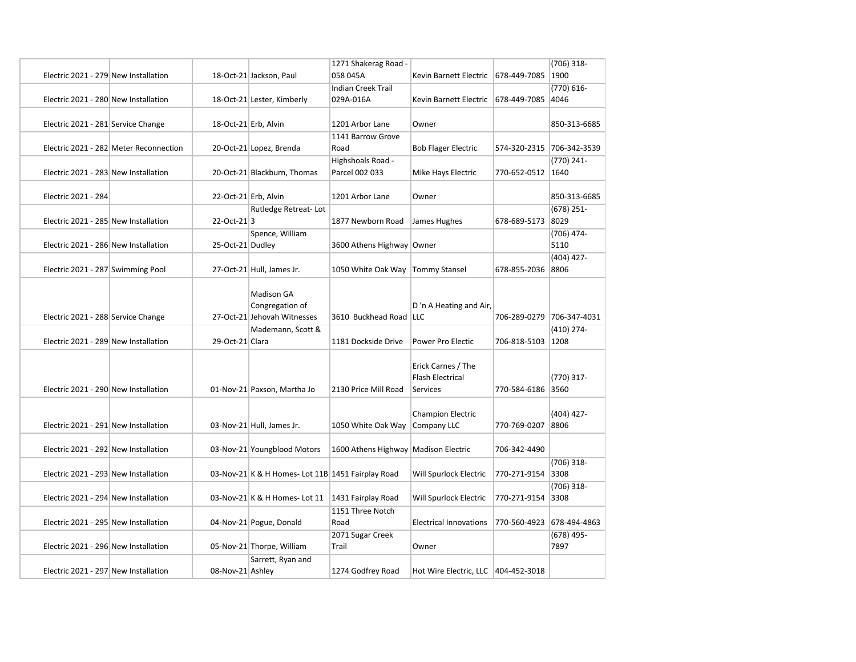|                                        |                  |                                                  | 1271 Shakerag Road -                 |                                       |                           | $(706)$ 318-  |
|----------------------------------------|------------------|--------------------------------------------------|--------------------------------------|---------------------------------------|---------------------------|---------------|
| Electric 2021 - 279 New Installation   |                  | 18-Oct-21 Jackson, Paul                          | 058 045A                             | Kevin Barnett Electric                | 678-449-7085              | 1900          |
|                                        |                  |                                                  | <b>Indian Creek Trail</b>            |                                       |                           | $(770) 616 -$ |
| Electric 2021 - 280 New Installation   |                  | 18-Oct-21 Lester, Kimberly                       | 029A-016A                            | Kevin Barnett Electric                | 678-449-7085              | 4046          |
|                                        |                  |                                                  |                                      |                                       |                           |               |
| Electric 2021 - 281 Service Change     |                  | 18-Oct-21 Erb, Alvin                             | 1201 Arbor Lane                      | Owner                                 |                           | 850-313-6685  |
|                                        |                  |                                                  | 1141 Barrow Grove                    |                                       |                           |               |
| Electric 2021 - 282 Meter Reconnection |                  | 20-Oct-21 Lopez, Brenda                          | Road                                 | <b>Bob Flager Electric</b>            | 574-320-2315 706-342-3539 |               |
|                                        |                  |                                                  | Highshoals Road -                    |                                       |                           | (770) 241-    |
| Electric 2021 - 283 New Installation   |                  | 20-Oct-21 Blackburn, Thomas                      | Parcel 002 033                       | Mike Hays Electric                    | 770-652-0512 1640         |               |
|                                        |                  |                                                  |                                      |                                       |                           |               |
| Electric 2021 - 284                    |                  | 22-Oct-21 Erb, Alvin                             | 1201 Arbor Lane                      | Owner                                 |                           | 850-313-6685  |
|                                        |                  | Rutledge Retreat-Lot                             |                                      |                                       |                           | $(678)$ 251-  |
| Electric 2021 - 285 New Installation   | 22-Oct-213       |                                                  | 1877 Newborn Road                    | James Hughes                          | 678-689-5173              | 8029          |
|                                        |                  | Spence, William                                  |                                      |                                       |                           | $(706)$ 474-  |
| Electric 2021 - 286 New Installation   | 25-Oct-21 Dudley |                                                  | 3600 Athens Highway Owner            |                                       |                           | 5110          |
|                                        |                  |                                                  |                                      |                                       |                           | $(404)$ 427-  |
| Electric 2021 - 287 Swimming Pool      |                  | 27-Oct-21 Hull, James Jr.                        | 1050 White Oak Way   Tommy Stansel   |                                       | 678-855-2036 8806         |               |
|                                        |                  |                                                  |                                      |                                       |                           |               |
|                                        |                  | <b>Madison GA</b>                                |                                      |                                       |                           |               |
|                                        |                  | Congregation of                                  |                                      | D'n A Heating and Air,                |                           |               |
| Electric 2021 - 288 Service Change     |                  | 27-Oct-21 Jehovah Witnesses                      | 3610 Buckhead Road   LLC             |                                       | 706-289-0279 706-347-4031 |               |
|                                        |                  | Mademann, Scott &                                |                                      |                                       |                           | $(410)$ 274-  |
| Electric 2021 - 289 New Installation   | 29-Oct-21 Clara  |                                                  | 1181 Dockside Drive                  | Power Pro Electic                     | 706-818-5103 1208         |               |
|                                        |                  |                                                  |                                      |                                       |                           |               |
|                                        |                  |                                                  |                                      | Erick Carnes / The                    |                           |               |
|                                        |                  |                                                  |                                      | <b>Flash Electrical</b>               |                           | $(770)$ 317-  |
| Electric 2021 - 290 New Installation   |                  | 01-Nov-21 Paxson, Martha Jo                      | 2130 Price Mill Road                 | Services                              | 770-584-6186 3560         |               |
|                                        |                  |                                                  |                                      |                                       |                           |               |
|                                        |                  |                                                  |                                      | <b>Champion Electric</b>              |                           | $(404)$ 427-  |
| Electric 2021 - 291 New Installation   |                  | 03-Nov-21 Hull, James Jr.                        | 1050 White Oak Way                   | Company LLC                           | 770-769-0207 8806         |               |
|                                        |                  |                                                  |                                      |                                       |                           |               |
| Electric 2021 - 292 New Installation   |                  | 03-Nov-21 Youngblood Motors                      | 1600 Athens Highway Madison Electric |                                       | 706-342-4490              |               |
|                                        |                  |                                                  |                                      |                                       |                           | $(706)$ 318-  |
| Electric 2021 - 293 New Installation   |                  | 03-Nov-21 K & H Homes-Lot 11B 1451 Fairplay Road |                                      | Will Spurlock Electric                | 770-271-9154 3308         |               |
|                                        |                  |                                                  |                                      |                                       |                           | $(706)$ 318-  |
| Electric 2021 - 294 New Installation   |                  | 03-Nov-21 K & H Homes-Lot 11                     | 1431 Fairplay Road                   | Will Spurlock Electric                | 770-271-9154 3308         |               |
|                                        |                  |                                                  | 1151 Three Notch                     |                                       |                           |               |
| Electric 2021 - 295 New Installation   |                  | 04-Nov-21 Pogue, Donald                          | Road                                 | <b>Electrical Innovations</b>         | 770-560-4923 678-494-4863 |               |
|                                        |                  |                                                  | 2071 Sugar Creek                     |                                       |                           | $(678)$ 495-  |
| Electric 2021 - 296 New Installation   |                  | 05-Nov-21 Thorpe, William                        | Trail                                | Owner                                 |                           | 7897          |
|                                        |                  | Sarrett, Ryan and                                |                                      |                                       |                           |               |
| Electric 2021 - 297 New Installation   | 08-Nov-21 Ashley |                                                  | 1274 Godfrey Road                    | Hot Wire Electric, LLC   404-452-3018 |                           |               |
|                                        |                  |                                                  |                                      |                                       |                           |               |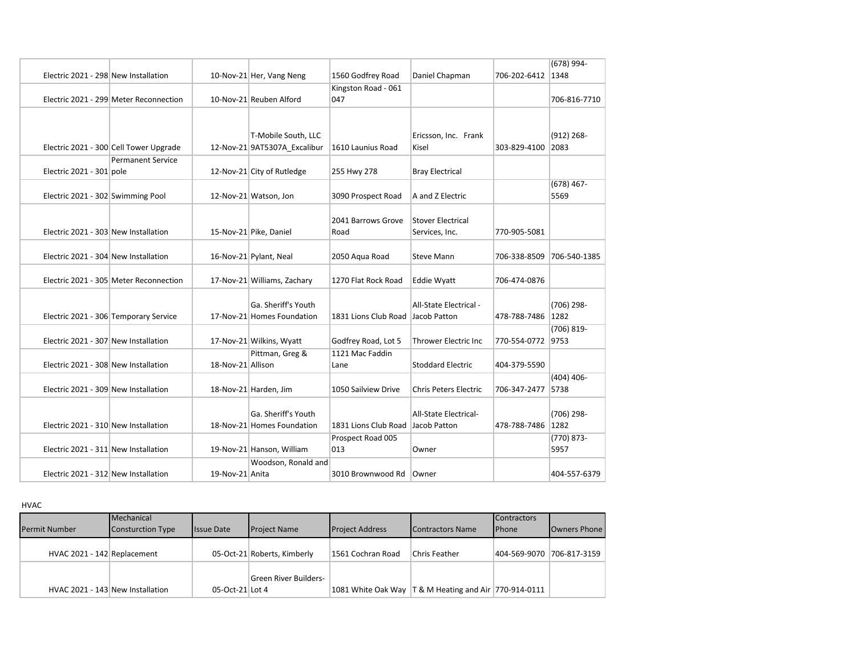|                                        |                   |                              |                                   |                              |              | (678) 994-    |
|----------------------------------------|-------------------|------------------------------|-----------------------------------|------------------------------|--------------|---------------|
| Electric 2021 - 298 New Installation   |                   | 10-Nov-21 Her, Vang Neng     | 1560 Godfrey Road                 | Daniel Chapman               | 706-202-6412 | 1348          |
|                                        |                   |                              | Kingston Road - 061               |                              |              |               |
| Electric 2021 - 299 Meter Reconnection |                   | 10-Nov-21 Reuben Alford      | 047                               |                              |              | 706-816-7710  |
|                                        |                   |                              |                                   |                              |              |               |
|                                        |                   |                              |                                   |                              |              |               |
|                                        |                   | T-Mobile South, LLC          |                                   | Ericsson, Inc. Frank         |              | $(912) 268 -$ |
| Electric 2021 - 300 Cell Tower Upgrade |                   | 12-Nov-21 9AT5307A Excalibur | 1610 Launius Road                 | Kisel                        | 303-829-4100 | 2083          |
| <b>Permanent Service</b>               |                   |                              |                                   |                              |              |               |
| Electric 2021 - 301 pole               |                   | 12-Nov-21 City of Rutledge   | 255 Hwy 278                       | <b>Bray Electrical</b>       |              |               |
|                                        |                   |                              |                                   |                              |              | $(678)$ 467-  |
| Electric 2021 - 302 Swimming Pool      |                   | 12-Nov-21 Watson, Jon        | 3090 Prospect Road                | A and Z Electric             |              | 5569          |
|                                        |                   |                              |                                   |                              |              |               |
|                                        |                   |                              | 2041 Barrows Grove                | <b>Stover Electrical</b>     |              |               |
| Electric 2021 - 303 New Installation   |                   | 15-Nov-21 Pike, Daniel       | Road                              | Services, Inc.               | 770-905-5081 |               |
|                                        |                   |                              |                                   |                              |              |               |
| Electric 2021 - 304 New Installation   |                   | 16-Nov-21 Pylant, Neal       | 2050 Agua Road                    | <b>Steve Mann</b>            | 706-338-8509 | 706-540-1385  |
|                                        |                   |                              |                                   |                              |              |               |
| Electric 2021 - 305 Meter Reconnection |                   | 17-Nov-21 Williams, Zachary  | 1270 Flat Rock Road               | <b>Eddie Wyatt</b>           | 706-474-0876 |               |
|                                        |                   |                              |                                   |                              |              |               |
|                                        |                   | Ga. Sheriff's Youth          |                                   | All-State Electrical -       |              | (706) 298-    |
| Electric 2021 - 306 Temporary Service  |                   | 17-Nov-21 Homes Foundation   | 1831 Lions Club Road Jacob Patton |                              | 478-788-7486 | 1282          |
|                                        |                   |                              |                                   |                              |              | $(706) 819 -$ |
| Electric 2021 - 307 New Installation   |                   | 17-Nov-21 Wilkins, Wyatt     | Godfrey Road, Lot 5               | <b>Thrower Electric Inc</b>  | 770-554-0772 | 9753          |
|                                        |                   | Pittman, Greg &              | 1121 Mac Faddin                   |                              |              |               |
| Electric 2021 - 308 New Installation   | 18-Nov-21 Allison |                              | Lane                              | <b>Stoddard Electric</b>     | 404-379-5590 |               |
|                                        |                   |                              |                                   |                              |              | $(404)$ 406-  |
| Electric 2021 - 309 New Installation   |                   | 18-Nov-21 Harden, Jim        | 1050 Sailview Drive               | <b>Chris Peters Electric</b> | 706-347-2477 | 5738          |
|                                        |                   |                              |                                   |                              |              |               |
|                                        |                   | Ga. Sheriff's Youth          |                                   | <b>All-State Electrical-</b> |              | (706) 298-    |
| Electric 2021 - 310 New Installation   |                   | 18-Nov-21 Homes Foundation   | 1831 Lions Club Road Jacob Patton |                              | 478-788-7486 | 1282          |
|                                        |                   |                              | Prospect Road 005                 |                              |              | $(770) 873 -$ |
| Electric 2021 - 311 New Installation   |                   | 19-Nov-21 Hanson, William    | 013                               | Owner                        |              | 5957          |
|                                        |                   | Woodson, Ronald and          |                                   |                              |              |               |
| Electric 2021 - 312 New Installation   | 19-Nov-21 Anita   |                              | 3010 Brownwood Rd                 | Owner                        |              | 404-557-6379  |

HVAC

| <b>Permit Number</b>             | Mechanical<br>Consturction Type | <b>Issue Date</b> | <b>Project Name</b>         | <b>Project Address</b> | Contractors Name                                          | <b>Contractors</b><br><b>Phone</b> | <b>Owners Phone</b>       |
|----------------------------------|---------------------------------|-------------------|-----------------------------|------------------------|-----------------------------------------------------------|------------------------------------|---------------------------|
| HVAC 2021 - 142 Replacement      |                                 |                   | 05-Oct-21 Roberts, Kimberly | 1561 Cochran Road      | Chris Feather                                             |                                    | 404-569-9070 706-817-3159 |
| HVAC 2021 - 143 New Installation |                                 | 05-Oct-21 Lot 4   | Green River Builders-       |                        | 1081 White Oak Way   T & M Heating and Air   770-914-0111 |                                    |                           |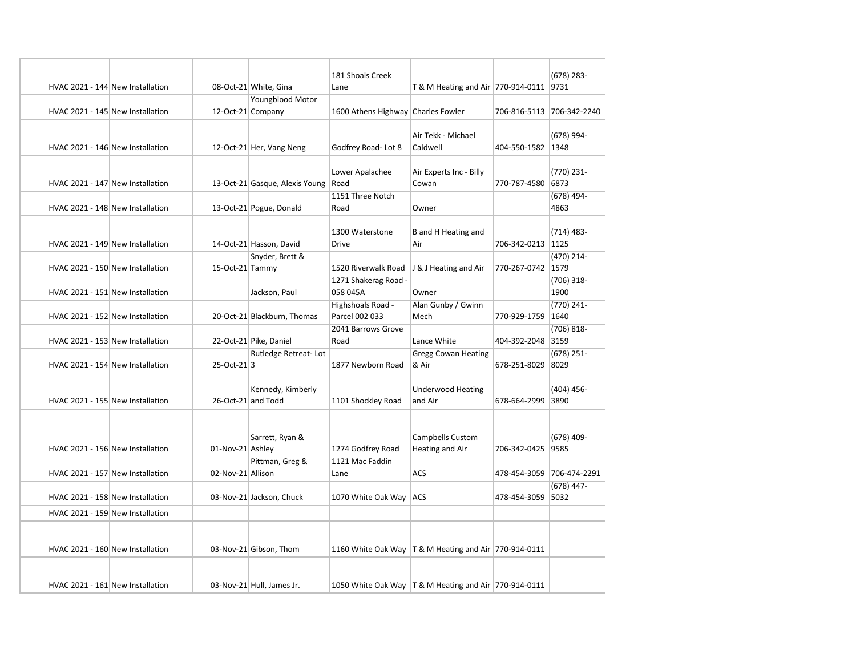|                                  |                    |                                | 181 Shoals Creek                    |                                                           |                           | (678) 283-           |
|----------------------------------|--------------------|--------------------------------|-------------------------------------|-----------------------------------------------------------|---------------------------|----------------------|
| HVAC 2021 - 144 New Installation |                    | 08-Oct-21 White, Gina          | Lane                                | T & M Heating and Air 770-914-0111 9731                   |                           |                      |
|                                  |                    | <b>Youngblood Motor</b>        |                                     |                                                           |                           |                      |
| HVAC 2021 - 145 New Installation | 12-Oct-21 Company  |                                | 1600 Athens Highway Charles Fowler  |                                                           | 706-816-5113 706-342-2240 |                      |
| HVAC 2021 - 146 New Installation |                    | 12-Oct-21 Her, Vang Neng       | Godfrey Road-Lot 8                  | Air Tekk - Michael<br>Caldwell                            | 404-550-1582 1348         | (678) 994-           |
| HVAC 2021 - 147 New Installation |                    | 13-Oct-21 Gasque, Alexis Young | Lower Apalachee<br>Road             | Air Experts Inc - Billy<br>Cowan                          | 770-787-4580              | (770) 231-<br>6873   |
| HVAC 2021 - 148 New Installation |                    | 13-Oct-21 Pogue, Donald        | 1151 Three Notch<br>Road            | Owner                                                     |                           | (678) 494-<br>4863   |
| HVAC 2021 - 149 New Installation |                    | 14-Oct-21 Hasson, David        | 1300 Waterstone<br>Drive            | B and H Heating and<br>Air                                | 706-342-0213 1125         | (714) 483-           |
| HVAC 2021 - 150 New Installation | 15-Oct-21 Tammy    | Snyder, Brett &                | 1520 Riverwalk Road                 | J & J Heating and Air                                     | 770-267-0742 1579         | (470) 214-           |
| HVAC 2021 - 151 New Installation |                    | Jackson, Paul                  | 1271 Shakerag Road -<br>058 045A    | Owner                                                     |                           | $(706)$ 318-<br>1900 |
| HVAC 2021 - 152 New Installation |                    | 20-Oct-21 Blackburn, Thomas    | Highshoals Road -<br>Parcel 002 033 | Alan Gunby / Gwinn<br>Mech                                | 770-929-1759              | (770) 241-<br>1640   |
| HVAC 2021 - 153 New Installation |                    | 22-Oct-21 Pike, Daniel         | 2041 Barrows Grove<br>Road          | Lance White                                               | 404-392-2048 3159         | (706) 818-           |
| HVAC 2021 - 154 New Installation | 25-Oct-213         | Rutledge Retreat-Lot           | 1877 Newborn Road                   | <b>Gregg Cowan Heating</b><br>& Air                       | 678-251-8029              | (678) 251-<br>8029   |
| HVAC 2021 - 155 New Installation | 26-Oct-21 and Todd | Kennedy, Kimberly              | 1101 Shockley Road                  | <b>Underwood Heating</b><br>and Air                       | 678-664-2999              | (404) 456-<br>3890   |
| HVAC 2021 - 156 New Installation | 01-Nov-21 Ashley   | Sarrett, Ryan &                | 1274 Godfrey Road                   | Campbells Custom<br>Heating and Air                       | 706-342-0425 9585         | (678) 409-           |
| HVAC 2021 - 157 New Installation | 02-Nov-21 Allison  | Pittman, Greg &                | 1121 Mac Faddin<br>Lane             | ACS                                                       | 478-454-3059              | 706-474-2291         |
| HVAC 2021 - 158 New Installation |                    | 03-Nov-21 Jackson, Chuck       | 1070 White Oak Way   ACS            |                                                           | 478-454-3059 5032         | (678) 447-           |
| HVAC 2021 - 159 New Installation |                    |                                |                                     |                                                           |                           |                      |
| HVAC 2021 - 160 New Installation |                    | 03-Nov-21 Gibson, Thom         |                                     | 1160 White Oak Way   T & M Heating and Air   770-914-0111 |                           |                      |
| HVAC 2021 - 161 New Installation |                    | 03-Nov-21 Hull, James Jr.      |                                     | 1050 White Oak Way   T & M Heating and Air   770-914-0111 |                           |                      |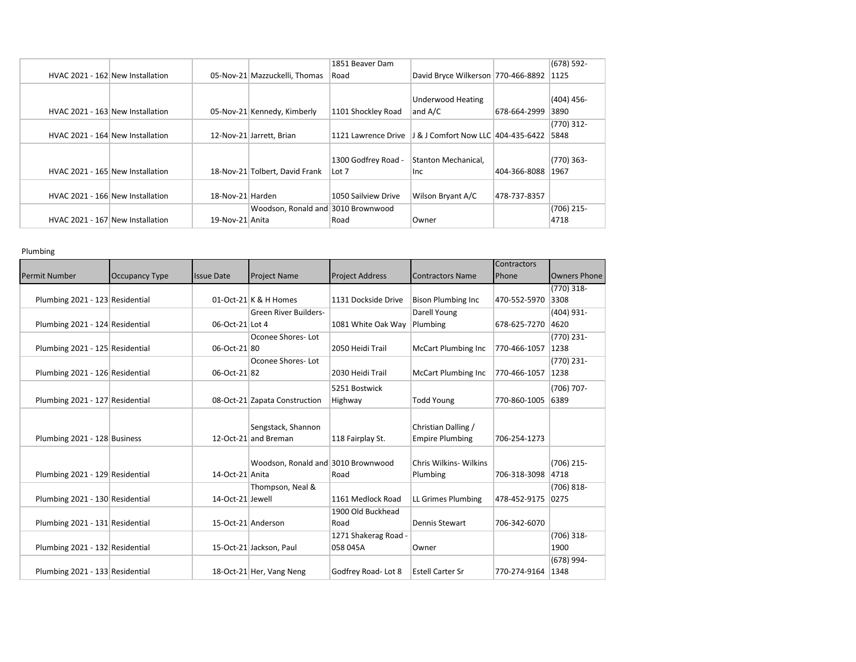|  |                                  |                  |                                    | 1851 Beaver Dam     |                                    |              | $(678)$ 592- |
|--|----------------------------------|------------------|------------------------------------|---------------------|------------------------------------|--------------|--------------|
|  | HVAC 2021 - 162 New Installation |                  | 05-Nov-21 Mazzuckelli, Thomas      | Road                | David Bryce Wilkerson 770-466-8892 |              | 1125         |
|  |                                  |                  |                                    |                     |                                    |              |              |
|  |                                  |                  |                                    |                     | Underwood Heating                  |              | $(404)$ 456- |
|  | HVAC 2021 - 163 New Installation |                  | 05-Nov-21 Kennedy, Kimberly        | 1101 Shockley Road  | and A/C                            | 678-664-2999 | 3890         |
|  |                                  |                  |                                    |                     |                                    |              | (770) 312-   |
|  | HVAC 2021 - 164 New Installation |                  | 12-Nov-21 Jarrett, Brian           | 1121 Lawrence Drive | J & J Comfort Now LLC 404-435-6422 |              | 5848         |
|  |                                  |                  |                                    |                     |                                    |              |              |
|  |                                  |                  |                                    | 1300 Godfrey Road - | Stanton Mechanical,                |              | $(770)$ 363- |
|  | HVAC 2021 - 165 New Installation |                  | 18-Nov-21 Tolbert, David Frank     | Lot 7               | <b>Inc</b>                         | 404-366-8088 | 1967         |
|  |                                  |                  |                                    |                     |                                    |              |              |
|  | HVAC 2021 - 166 New Installation | 18-Nov-21 Harden |                                    | 1050 Sailview Drive | Wilson Bryant A/C                  | 478-737-8357 |              |
|  |                                  |                  | Woodson, Ronald and 3010 Brownwood |                     |                                    |              | (706) 215-   |
|  | HVAC 2021 - 167 New Installation | 19-Nov-21 Anita  |                                    | Road                | Owner                              |              | 4718         |

## Plumbing

|                                 |                       |                   |                                    |                        |                            | <b>Contractors</b>  |                     |
|---------------------------------|-----------------------|-------------------|------------------------------------|------------------------|----------------------------|---------------------|---------------------|
| <b>Permit Number</b>            | <b>Occupancy Type</b> | <b>Issue Date</b> | <b>Project Name</b>                | <b>Project Address</b> | <b>Contractors Name</b>    | Phone               | <b>Owners Phone</b> |
|                                 |                       |                   |                                    |                        |                            |                     | $(770)$ 318-        |
| Plumbing 2021 - 123 Residential |                       |                   | 01-Oct-21 $K$ & H Homes            | 1131 Dockside Drive    | <b>Bison Plumbing Inc</b>  | 470-552-5970 3308   |                     |
|                                 |                       |                   | Green River Builders-              |                        | Darell Young               |                     | $(404)$ 931-        |
| Plumbing 2021 - 124 Residential |                       | 06-Oct-21 Lot 4   |                                    | 1081 White Oak Way     | Plumbing                   | 678-625-7270 4620   |                     |
|                                 |                       |                   | Oconee Shores-Lot                  |                        |                            |                     | $(770)$ 231-        |
| Plumbing 2021 - 125 Residential |                       | 06-Oct-21 80      |                                    | 2050 Heidi Trail       | <b>McCart Plumbing Inc</b> | 770-466-1057        | 1238                |
|                                 |                       |                   | Oconee Shores-Lot                  |                        |                            |                     | $(770)$ 231-        |
| Plumbing 2021 - 126 Residential |                       | 06-Oct-21 82      |                                    | 2030 Heidi Trail       | <b>McCart Plumbing Inc</b> | 770-466-1057        | 1238                |
|                                 |                       |                   |                                    | 5251 Bostwick          |                            |                     | (706) 707-          |
| Plumbing 2021 - 127 Residential |                       |                   | 08-Oct-21 Zapata Construction      | Highway                | <b>Todd Young</b>          | 770-860-1005        | 6389                |
|                                 |                       |                   |                                    |                        |                            |                     |                     |
|                                 |                       |                   | Sengstack, Shannon                 |                        | Christian Dalling /        |                     |                     |
| Plumbing 2021 - 128 Business    |                       |                   | 12-Oct-21 and Breman               | 118 Fairplay St.       | <b>Empire Plumbing</b>     | 706-254-1273        |                     |
|                                 |                       |                   |                                    |                        |                            |                     |                     |
|                                 |                       |                   | Woodson, Ronald and 3010 Brownwood |                        | Chris Wilkins- Wilkins     |                     | $(706)$ 215-        |
| Plumbing 2021 - 129 Residential |                       | 14-Oct-21 Anita   |                                    | Road                   | Plumbing                   | 706-318-3098 4718   |                     |
|                                 |                       |                   | Thompson, Neal &                   |                        |                            |                     | $(706) 818 -$       |
| Plumbing 2021 - 130 Residential |                       | 14-Oct-21 Jewell  |                                    | 1161 Medlock Road      | LL Grimes Plumbing         | 478-452-9175 0275   |                     |
|                                 |                       |                   |                                    | 1900 Old Buckhead      |                            |                     |                     |
| Plumbing 2021 - 131 Residential |                       |                   | 15-Oct-21 Anderson                 | Road                   | <b>Dennis Stewart</b>      | 706-342-6070        |                     |
|                                 |                       |                   |                                    | 1271 Shakerag Road -   |                            |                     | $(706)$ 318-        |
| Plumbing 2021 - 132 Residential |                       |                   | 15-Oct-21 Jackson, Paul            | 058 045A               | Owner                      |                     | 1900                |
|                                 |                       |                   |                                    |                        |                            |                     | (678) 994-          |
| Plumbing 2021 - 133 Residential |                       |                   | 18-Oct-21 Her, Vang Neng           | Godfrey Road-Lot 8     | <b>Estell Carter Sr</b>    | 770-274-9164   1348 |                     |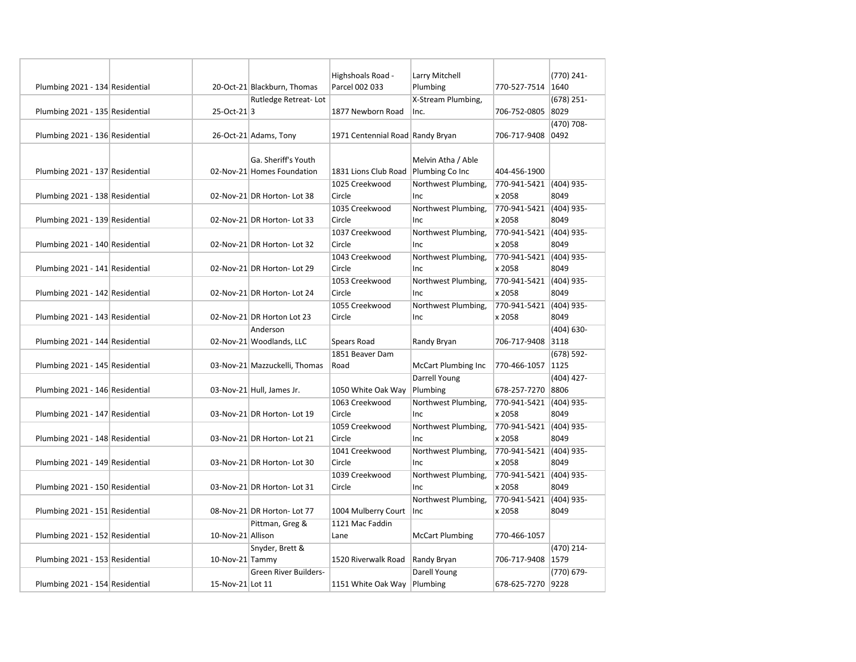|                                 |                   |                               | Highshoals Road -                    | Larry Mitchell             |                         | (770) 241-    |
|---------------------------------|-------------------|-------------------------------|--------------------------------------|----------------------------|-------------------------|---------------|
| Plumbing 2021 - 134 Residential |                   | 20-Oct-21 Blackburn, Thomas   | Parcel 002 033                       | Plumbing                   | 770-527-7514 1640       |               |
|                                 |                   | Rutledge Retreat-Lot          |                                      | X-Stream Plumbing,         |                         | $(678)$ 251-  |
| Plumbing 2021 - 135 Residential | 25-Oct-213        |                               | 1877 Newborn Road                    | Inc.                       | 706-752-0805 8029       |               |
|                                 |                   |                               |                                      |                            |                         | $(470)$ 708-  |
| Plumbing 2021 - 136 Residential |                   | 26-Oct-21 Adams, Tony         | 1971 Centennial Road Randy Bryan     |                            | 706-717-9408 0492       |               |
|                                 |                   |                               |                                      |                            |                         |               |
|                                 |                   | Ga. Sheriff's Youth           |                                      | Melvin Atha / Able         |                         |               |
| Plumbing 2021 - 137 Residential |                   | 02-Nov-21 Homes Foundation    | 1831 Lions Club Road Plumbing Co Inc |                            | 404-456-1900            |               |
|                                 |                   |                               | 1025 Creekwood                       | Northwest Plumbing,        | 770-941-5421 (404) 935- |               |
| Plumbing 2021 - 138 Residential |                   | 02-Nov-21 DR Horton- Lot 38   | Circle                               | Inc                        | x 2058                  | 8049          |
|                                 |                   |                               | 1035 Creekwood                       | Northwest Plumbing,        | 770-941-5421 (404) 935- |               |
| Plumbing 2021 - 139 Residential |                   | 02-Nov-21 DR Horton- Lot 33   | Circle                               | Inc                        | x 2058                  | 8049          |
|                                 |                   |                               | 1037 Creekwood                       | Northwest Plumbing,        | 770-941-5421 (404) 935- |               |
| Plumbing 2021 - 140 Residential |                   | 02-Nov-21 DR Horton- Lot 32   | Circle                               | Inc                        | x 2058                  | 8049          |
|                                 |                   |                               | 1043 Creekwood                       | Northwest Plumbing,        | 770-941-5421 (404) 935- |               |
| Plumbing 2021 - 141 Residential |                   | 02-Nov-21 DR Horton- Lot 29   | Circle                               | Inc                        | x 2058                  | 8049          |
|                                 |                   |                               | 1053 Creekwood                       | Northwest Plumbing,        | 770-941-5421            | (404) 935-    |
| Plumbing 2021 - 142 Residential |                   | 02-Nov-21 DR Horton- Lot 24   | Circle                               | Inc                        | x 2058                  | 8049          |
|                                 |                   |                               | 1055 Creekwood                       | Northwest Plumbing,        | 770-941-5421 (404) 935- |               |
| Plumbing 2021 - 143 Residential |                   | 02-Nov-21 DR Horton Lot 23    | Circle                               | Inc                        | x 2058                  | 8049          |
|                                 |                   | Anderson                      |                                      |                            |                         | $(404) 630 -$ |
| Plumbing 2021 - 144 Residential |                   | 02-Nov-21 Woodlands, LLC      | Spears Road                          | Randy Bryan                | 706-717-9408 3118       |               |
|                                 |                   |                               | 1851 Beaver Dam                      |                            |                         | (678) 592-    |
| Plumbing 2021 - 145 Residential |                   | 03-Nov-21 Mazzuckelli, Thomas | Road                                 | <b>McCart Plumbing Inc</b> | 770-466-1057   1125     |               |
|                                 |                   |                               |                                      | Darrell Young              |                         | $(404)$ 427-  |
| Plumbing 2021 - 146 Residential |                   | 03-Nov-21 Hull, James Jr.     | 1050 White Oak Way                   | Plumbing                   | 678-257-7270 8806       |               |
|                                 |                   |                               | 1063 Creekwood                       | Northwest Plumbing,        | 770-941-5421            | (404) 935-    |
| Plumbing 2021 - 147 Residential |                   | 03-Nov-21 DR Horton- Lot 19   | Circle                               | Inc                        | x 2058                  | 8049          |
|                                 |                   |                               | 1059 Creekwood                       | Northwest Plumbing,        | 770-941-5421 (404) 935- |               |
| Plumbing 2021 - 148 Residential |                   | 03-Nov-21 DR Horton- Lot 21   | Circle                               | Inc                        | x 2058                  | 8049          |
|                                 |                   |                               | 1041 Creekwood                       | Northwest Plumbing,        | 770-941-5421 (404) 935- |               |
| Plumbing 2021 - 149 Residential |                   | 03-Nov-21 DR Horton- Lot 30   | Circle                               | Inc                        | x 2058                  | 8049          |
|                                 |                   |                               | 1039 Creekwood                       | Northwest Plumbing,        | 770-941-5421 (404) 935- |               |
| Plumbing 2021 - 150 Residential |                   | 03-Nov-21 DR Horton-Lot 31    | Circle                               | Inc                        | x 2058                  | 8049          |
|                                 |                   |                               |                                      | Northwest Plumbing,        | 770-941-5421 (404) 935- |               |
| Plumbing 2021 - 151 Residential |                   | 08-Nov-21 DR Horton- Lot 77   | 1004 Mulberry Court                  | lnc.                       | x 2058                  | 8049          |
|                                 |                   | Pittman, Greg &               | 1121 Mac Faddin                      |                            |                         |               |
| Plumbing 2021 - 152 Residential | 10-Nov-21 Allison |                               | Lane                                 | <b>McCart Plumbing</b>     | 770-466-1057            |               |
|                                 |                   | Snyder, Brett &               |                                      |                            |                         | (470) 214-    |
| Plumbing 2021 - 153 Residential | 10-Nov-21 Tammy   |                               | 1520 Riverwalk Road                  | Randy Bryan                | 706-717-9408 1579       |               |
|                                 |                   | <b>Green River Builders-</b>  |                                      | Darell Young               |                         | (770) 679-    |
| Plumbing 2021 - 154 Residential | 15-Nov-21 Lot 11  |                               | 1151 White Oak Way   Plumbing        |                            | 678-625-7270 9228       |               |